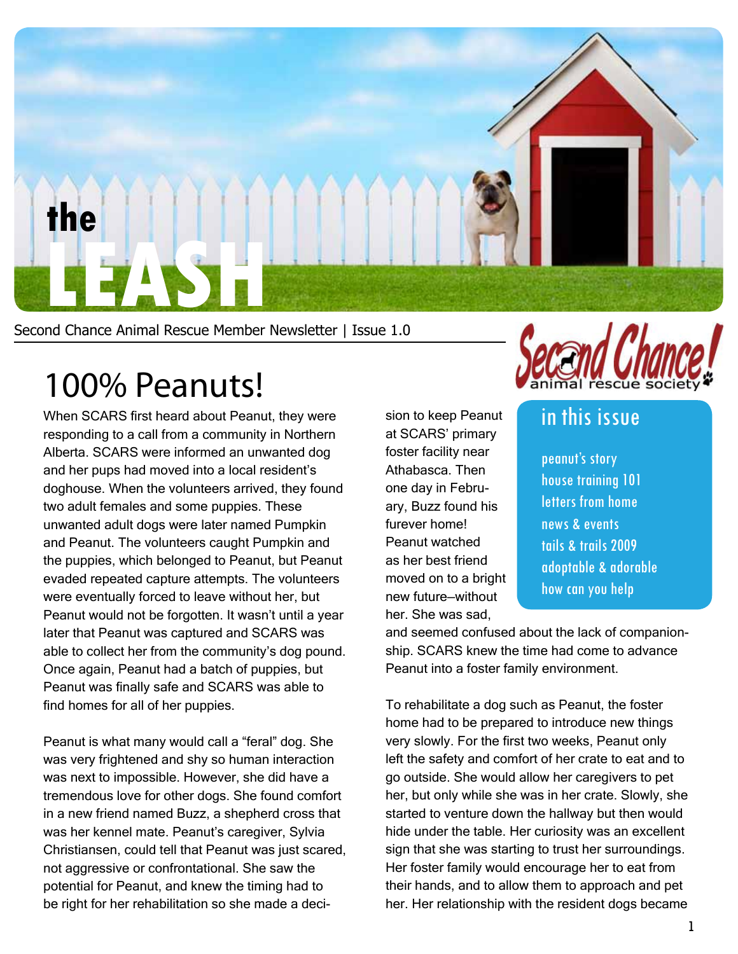

Second Chance Animal Rescue Member Newsletter | Issue 1.0

### 100% Peanuts!

When SCARS first heard about Peanut, they were responding to a call from a community in Northern Alberta. SCARS were informed an unwanted dog and her pups had moved into a local resident's doghouse. When the volunteers arrived, they found two adult females and some puppies. These unwanted adult dogs were later named Pumpkin and Peanut. The volunteers caught Pumpkin and the puppies, which belonged to Peanut, but Peanut evaded repeated capture attempts. The volunteers were eventually forced to leave without her, but Peanut would not be forgotten. It wasn't until a year later that Peanut was captured and SCARS was able to collect her from the community's dog pound. Once again, Peanut had a batch of puppies, but Peanut was finally safe and SCARS was able to find homes for all of her puppies.

Peanut is what many would call a "feral" dog. She was very frightened and shy so human interaction was next to impossible. However, she did have a tremendous love for other dogs. She found comfort in a new friend named Buzz, a shepherd cross that was her kennel mate. Peanut's caregiver, Sylvia Christiansen, could tell that Peanut was just scared, not aggressive or confrontational. She saw the potential for Peanut, and knew the timing had to be right for her rehabilitation so she made a deci-

sion to keep Peanut at SCARS' primary foster facility near Athabasca. Then one day in February, Buzz found his furever home! Peanut watched as her best friend moved on to a bright new future—without her. She was sad,



#### in this issue

peanut's story house training 101 letters from home news & events tails & trails 2009 adoptable & adorable how can you help

and seemed confused about the lack of companionship. SCARS knew the time had come to advance Peanut into a foster family environment.

To rehabilitate a dog such as Peanut, the foster home had to be prepared to introduce new things very slowly. For the first two weeks, Peanut only left the safety and comfort of her crate to eat and to go outside. She would allow her caregivers to pet her, but only while she was in her crate. Slowly, she started to venture down the hallway but then would hide under the table. Her curiosity was an excellent sign that she was starting to trust her surroundings. Her foster family would encourage her to eat from their hands, and to allow them to approach and pet her. Her relationship with the resident dogs became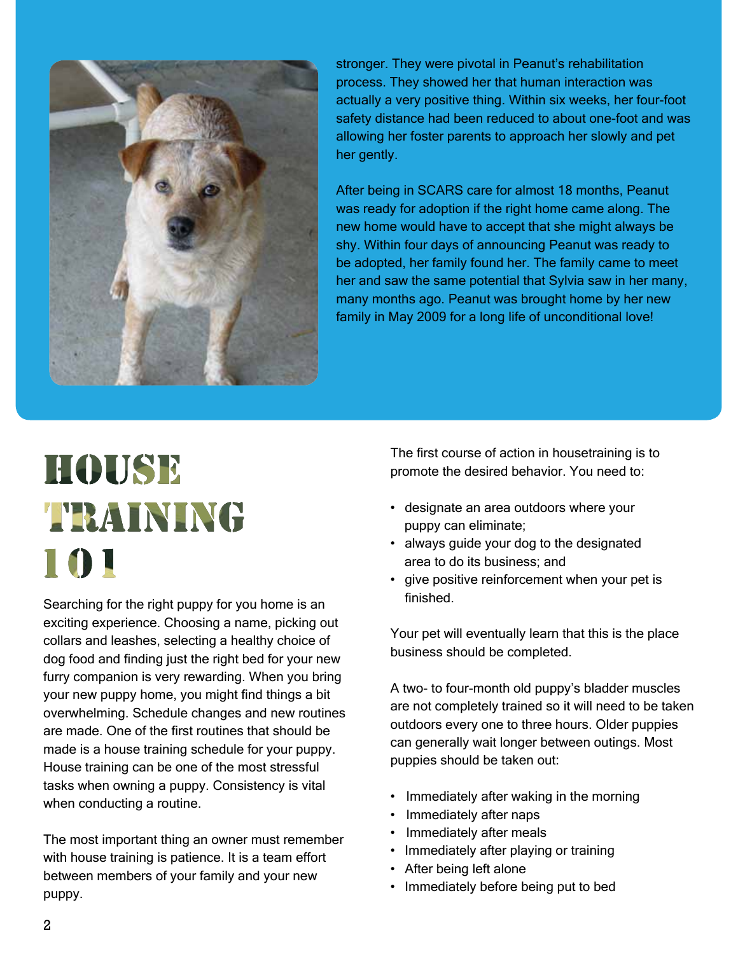

stronger. They were pivotal in Peanut's rehabilitation process. They showed her that human interaction was actually a very positive thing. Within six weeks, her four-foot safety distance had been reduced to about one-foot and was allowing her foster parents to approach her slowly and pet her gently.

After being in SCARS care for almost 18 months, Peanut was ready for adoption if the right home came along. The new home would have to accept that she might always be shy. Within four days of announcing Peanut was ready to be adopted, her family found her. The family came to meet her and saw the same potential that Sylvia saw in her many, many months ago. Peanut was brought home by her new family in May 2009 for a long life of unconditional love!

## HOUSE TRAINING 101

Searching for the right puppy for you home is an exciting experience. Choosing a name, picking out collars and leashes, selecting a healthy choice of dog food and finding just the right bed for your new furry companion is very rewarding. When you bring your new puppy home, you might find things a bit overwhelming. Schedule changes and new routines are made. One of the first routines that should be made is a house training schedule for your puppy. House training can be one of the most stressful tasks when owning a puppy. Consistency is vital when conducting a routine.

The most important thing an owner must remember with house training is patience. It is a team effort between members of your family and your new puppy.

The first course of action in housetraining is to promote the desired behavior. You need to:

- designate an area outdoors where your puppy can eliminate;
- always guide your dog to the designated area to do its business; and
- give positive reinforcement when your pet is finished.

Your pet will eventually learn that this is the place business should be completed.

A two- to four-month old puppy's bladder muscles are not completely trained so it will need to be taken outdoors every one to three hours. Older puppies can generally wait longer between outings. Most puppies should be taken out:

- Immediately after waking in the morning
- Immediately after naps
- Immediately after meals
- Immediately after playing or training
- After being left alone
- Immediately before being put to bed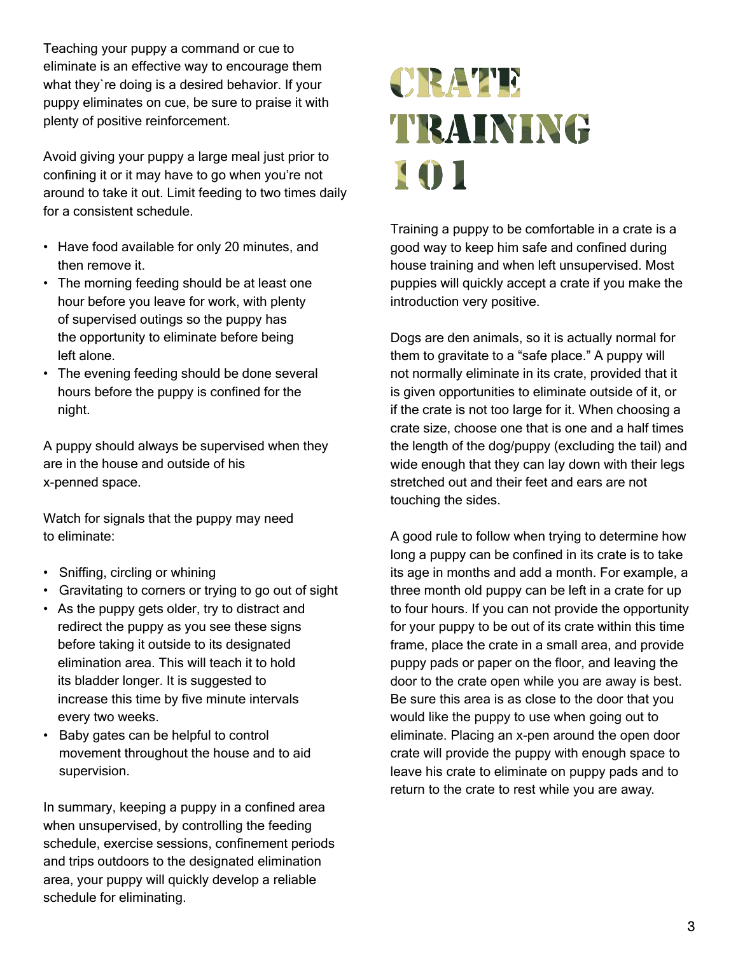Teaching your puppy a command or cue to eliminate is an effective way to encourage them what they`re doing is a desired behavior. If your puppy eliminates on cue, be sure to praise it with plenty of positive reinforcement.

Avoid giving your puppy a large meal just prior to confining it or it may have to go when you're not around to take it out. Limit feeding to two times daily for a consistent schedule.

- Have food available for only 20 minutes, and then remove it.
- The morning feeding should be at least one hour before you leave for work, with plenty of supervised outings so the puppy has the opportunity to eliminate before being left alone.
- The evening feeding should be done several hours before the puppy is confined for the night.

A puppy should always be supervised when they are in the house and outside of his x-penned space.

Watch for signals that the puppy may need to eliminate:

- Sniffing, circling or whining
- Gravitating to corners or trying to go out of sight
- As the puppy gets older, try to distract and redirect the puppy as you see these signs before taking it outside to its designated elimination area. This will teach it to hold its bladder longer. It is suggested to increase this time by five minute intervals every two weeks.
- Baby gates can be helpful to control movement throughout the house and to aid supervision.

In summary, keeping a puppy in a confined area when unsupervised, by controlling the feeding schedule, exercise sessions, confinement periods and trips outdoors to the designated elimination area, your puppy will quickly develop a reliable schedule for eliminating.

## CRATE TRAINING 101

Training a puppy to be comfortable in a crate is a good way to keep him safe and confined during house training and when left unsupervised. Most puppies will quickly accept a crate if you make the introduction very positive.

Dogs are den animals, so it is actually normal for them to gravitate to a "safe place." A puppy will not normally eliminate in its crate, provided that it is given opportunities to eliminate outside of it, or if the crate is not too large for it. When choosing a crate size, choose one that is one and a half times the length of the dog/puppy (excluding the tail) and wide enough that they can lay down with their legs stretched out and their feet and ears are not touching the sides.

A good rule to follow when trying to determine how long a puppy can be confined in its crate is to take its age in months and add a month. For example, a three month old puppy can be left in a crate for up to four hours. If you can not provide the opportunity for your puppy to be out of its crate within this time frame, place the crate in a small area, and provide puppy pads or paper on the floor, and leaving the door to the crate open while you are away is best. Be sure this area is as close to the door that you would like the puppy to use when going out to eliminate. Placing an x-pen around the open door crate will provide the puppy with enough space to leave his crate to eliminate on puppy pads and to return to the crate to rest while you are away.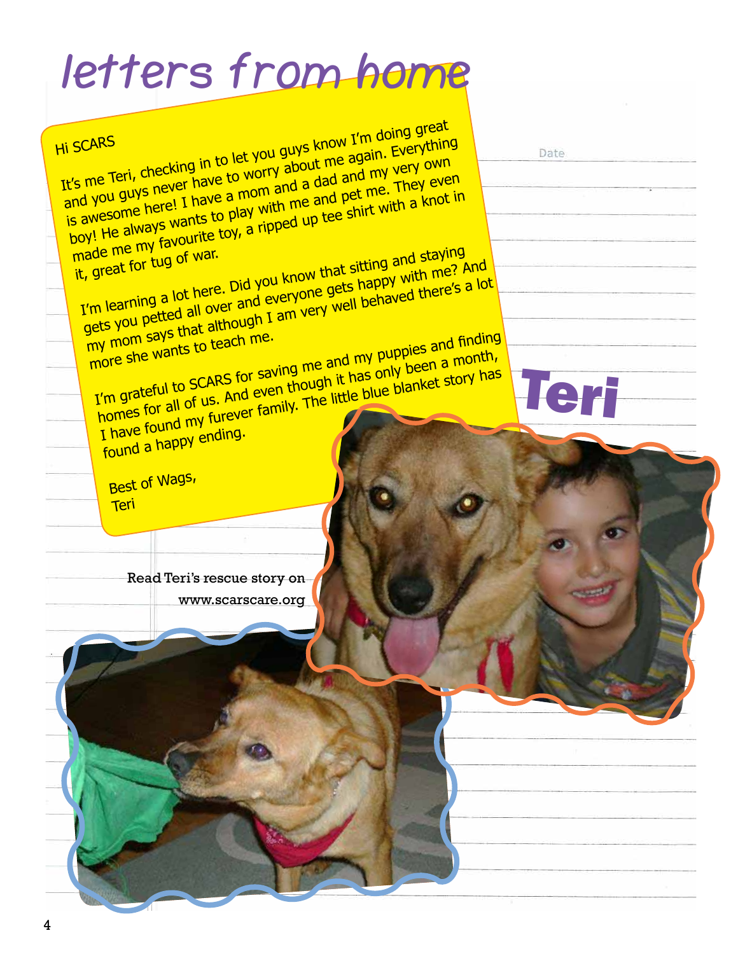# **letters from home**

| is awesome here! I have a mom and a dad and my very own<br>boy! He always wants to play with me and pet me. They even<br>made me my favourite toy, a ripped up tee shirt with a knot in<br>I'm learning a lot here. Did you know that sitting and staying<br>it, great for tug of war.<br>gets you petted all over and everyone gets happy with me? And<br>my mom says that although I am very well behaved there's a lot |  |
|---------------------------------------------------------------------------------------------------------------------------------------------------------------------------------------------------------------------------------------------------------------------------------------------------------------------------------------------------------------------------------------------------------------------------|--|
| more she wants to teach me.<br>I'm grateful to SCARS for saving me and my puppies and finding<br>homes for all of us. And even though it has only been a month,<br>I have found my furever family. The little blue blanket story has<br>Teri<br>found a happy ending.                                                                                                                                                     |  |
| Best of Wags,<br>Teri<br>Read Teri's rescue story on                                                                                                                                                                                                                                                                                                                                                                      |  |
| www.scarscare.org                                                                                                                                                                                                                                                                                                                                                                                                         |  |
|                                                                                                                                                                                                                                                                                                                                                                                                                           |  |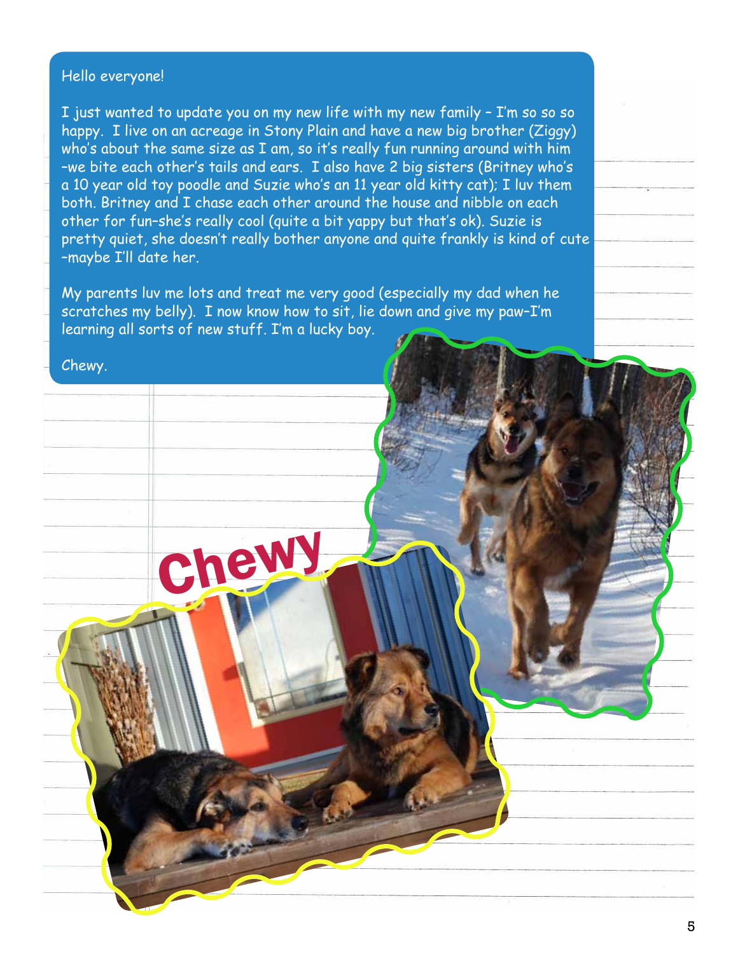#### Hello everyone!

I just wanted to update you on my new life with my new family – I'm so so so happy. I live on an acreage in Stony Plain and have a new big brother (Ziggy) who's about the same size as I am, so it's really fun running around with him –we bite each other's tails and ears. I also have 2 big sisters (Britney who's a 10 year old toy poodle and Suzie who's an 11 year old kitty cat); I luv them both. Britney and I chase each other around the house and nibble on each other for fun–she's really cool (quite a bit yappy but that's ok). Suzie is pretty quiet, she doesn't really bother anyone and quite frankly is kind of cute –maybe I'll date her.

My parents luv me lots and treat me very good (especially my dad when he scratches my belly). I now know how to sit, lie down and give my paw–I'm learning all sorts of new stuff. I'm a lucky boy.

# Chewy. Chewy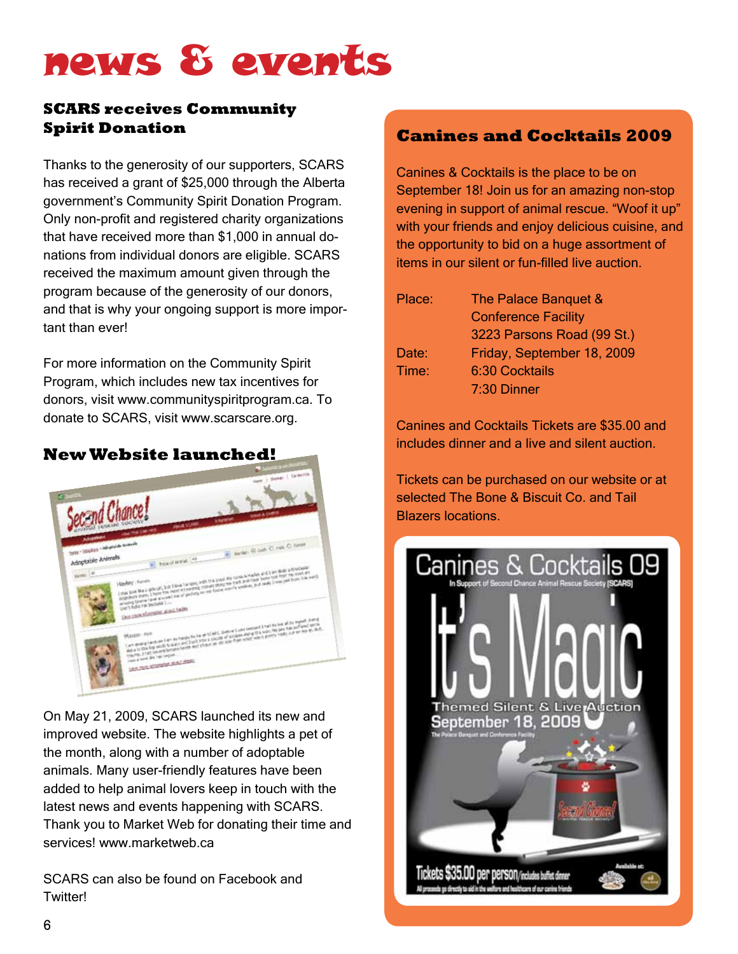## news & events

#### **SCARS receives Community Spirit Donation**

Thanks to the generosity of our supporters, SCARS has received a grant of \$25,000 through the Alberta government's Community Spirit Donation Program. Only non-profit and registered charity organizations that have received more than \$1,000 in annual donations from individual donors are eligible. SCARS received the maximum amount given through the program because of the generosity of our donors, and that is why your ongoing support is more important than ever!

For more information on the Community Spirit Program, which includes new tax incentives for donors, visit www.communityspiritprogram.ca. To donate to SCARS, visit www.scarscare.org.



On May 21, 2009, SCARS launched its new and improved website. The website highlights a pet of the month, along with a number of adoptable animals. Many user-friendly features have been added to help animal lovers keep in touch with the latest news and events happening with SCARS. Thank you to Market Web for donating their time and services! www.marketweb.ca

SCARS can also be found on Facebook and Twitter!

#### **Canines and Cocktails 2009**

Canines & Cocktails is the place to be on September 18! Join us for an amazing non-stop evening in support of animal rescue. "Woof it up" with your friends and enjoy delicious cuisine, and the opportunity to bid on a huge assortment of items in our silent or fun-filled live auction.

| Place: | The Palace Banquet &       |
|--------|----------------------------|
|        | <b>Conference Facility</b> |
|        | 3223 Parsons Road (99 St.) |
| Date:  | Friday, September 18, 2009 |
| Time:  | <b>6:30 Cocktails</b>      |
|        | 7:30 Dinner                |

Canines and Cocktails Tickets are \$35.00 and includes dinner and a live and silent auction.

Tickets can be purchased on our website or at selected The Bone & Biscuit Co. and Tail Blazers locations.

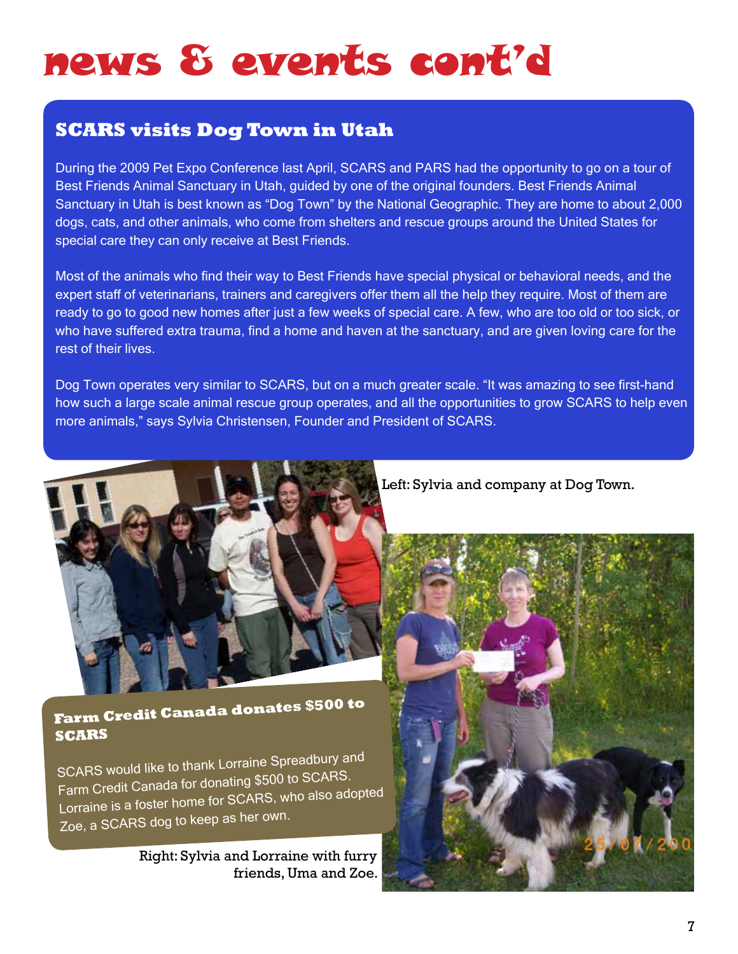## news & events cont'd

#### **SCARS visits Dog Town in Utah**

During the 2009 Pet Expo Conference last April, SCARS and PARS had the opportunity to go on a tour of Best Friends Animal Sanctuary in Utah, guided by one of the original founders. Best Friends Animal Sanctuary in Utah is best known as "Dog Town" by the National Geographic. They are home to about 2,000 dogs, cats, and other animals, who come from shelters and rescue groups around the United States for special care they can only receive at Best Friends.

Most of the animals who find their way to Best Friends have special physical or behavioral needs, and the expert staff of veterinarians, trainers and caregivers offer them all the help they require. Most of them are ready to go to good new homes after just a few weeks of special care. A few, who are too old or too sick, or who have suffered extra trauma, find a home and haven at the sanctuary, and are given loving care for the rest of their lives.

Dog Town operates very similar to SCARS, but on a much greater scale. "It was amazing to see first-hand how such a large scale animal rescue group operates, and all the opportunities to grow SCARS to help even more animals," says Sylvia Christensen, Founder and President of SCARS.



Left: Sylvia and company at Dog Town.

#### **Farm Credit Canada donates \$500 to SCARS**

SCARS would like to thank Lorraine Spreadbury an<sup>d</sup> Farm Credit Canada for donating \$500 to SCARS. Lorraine is a foster home for SCARS, who also adopted Zoe, a SCARS dog to keep as her own.

> Right: Sylvia and Lorraine with furry friends, Uma and Zoe.

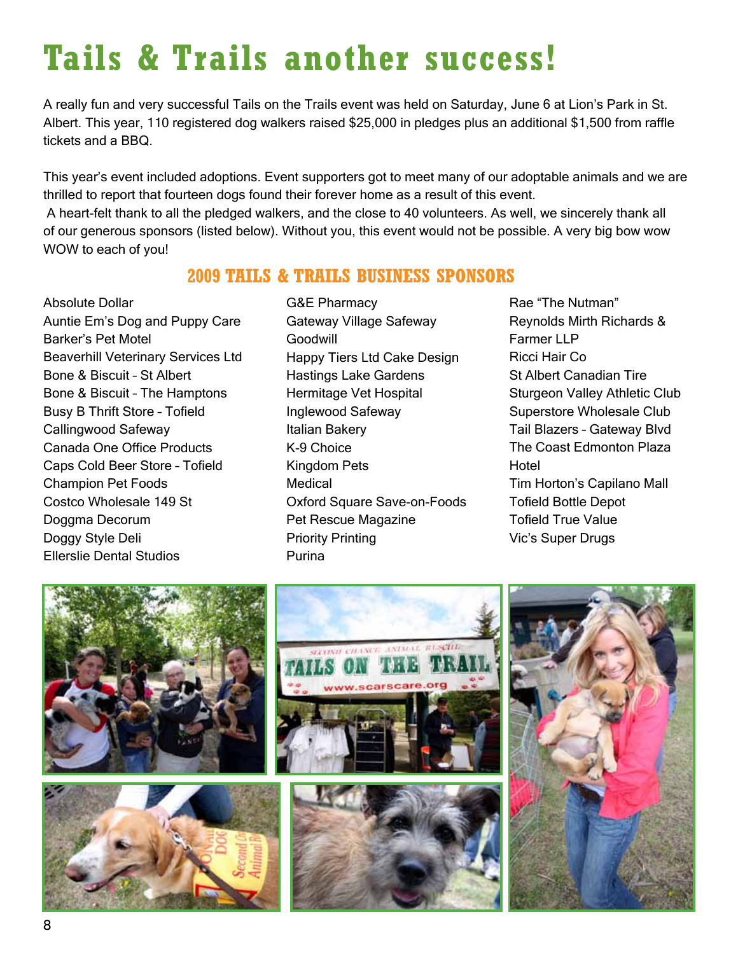## **Tails & Trails another success!**

A really fun and very successful Tails on the Trails event was held on Saturday, June 6 at Lion's Park in St. Albert. This year, 110 registered dog walkers raised \$25,000 in pledges plus an additional \$1,500 from raffle tickets and a BBQ.

This year's event included adoptions. Event supporters got to meet many of our adoptable animals and we are thrilled to report that fourteen dogs found their forever home as a result of this event.

 A heart-felt thank to all the pledged walkers, and the close to 40 volunteers. As well, we sincerely thank all of our generous sponsors (listed below). Without you, this event would not be possible. A very big bow wow WOW to each of you!

#### **2009 TAILS & TRAILS BUSINESS SPONSORS**

Absolute Dollar Auntie Em's Dog and Puppy Care Barker's Pet Motel Beaverhill Veterinary Services Ltd Bone & Biscuit – St Albert Bone & Biscuit – The Hamptons Busy B Thrift Store – Tofield Callingwood Safeway Canada One Office Products Caps Cold Beer Store – Tofield Champion Pet Foods Costco Wholesale 149 St Doggma Decorum Doggy Style Deli Ellerslie Dental Studios

G&E Pharmacy Gateway Village Safeway **Goodwill** Happy Tiers Ltd Cake Design Hastings Lake Gardens Hermitage Vet Hospital Inglewood Safeway Italian Bakery K-9 Choice Kingdom Pets **Medical** Oxford Square Save-on-Foods Pet Rescue Magazine Priority Printing Purina

Rae "The Nutman" Reynolds Mirth Richards & Farmer LLP Ricci Hair Co St Albert Canadian Tire Sturgeon Valley Athletic Club Superstore Wholesale Club Tail Blazers – Gateway Blvd The Coast Edmonton Plaza **Hotel** Tim Horton's Capilano Mall Tofield Bottle Depot Tofield True Value Vic's Super Drugs

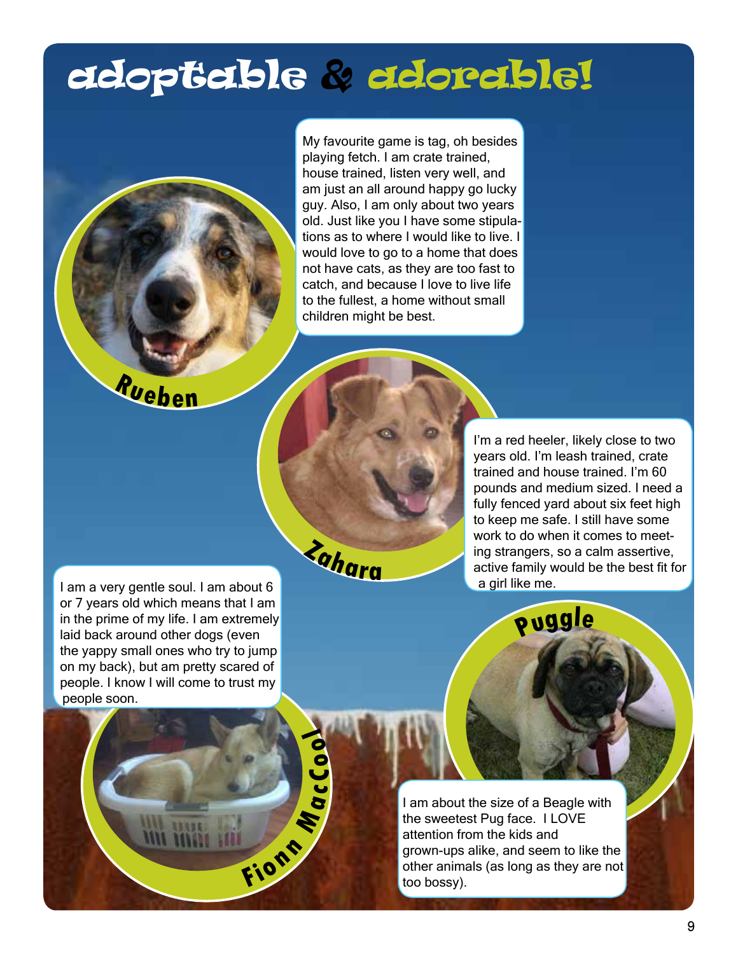## adoptable & adorable!

My favourite game is tag, oh besides playing fetch. I am crate trained, house trained, listen very well, and am just an all around happy go lucky guy. Also, I am only about two years old. Just like you I have some stipulations as to where I would like to live. I would love to go to a home that does not have cats, as they are too fast to catch, and because I love to live life to the fullest, a home without small children might be best.

**<sup>R</sup>uebe<sup>n</sup>**

**<sup>Z</sup>ahar<sup>a</sup>**

**<sup>F</sup>io<sup>n</sup> <sup>n</sup>**

**M a**

**c C o o<sup>l</sup>**

I'm a red heeler, likely close to two years old. I'm leash trained, crate trained and house trained. I'm 60 pounds and medium sized. I need a fully fenced yard about six feet high to keep me safe. I still have some work to do when it comes to meeting strangers, so a calm assertive, active family would be the best fit for a girl like me.

I am a very gentle soul. I am about 6 or 7 years old which means that I am in the prime of my life. I am extremely laid back around other dogs (even the yappy small ones who try to jump on my back), but am pretty scared of people. I know I will come to trust my people soon.

**Puggl<sup>e</sup>**

I am about the size of a Beagle with the sweetest Pug face. I LOVE attention from the kids and grown-ups alike, and seem to like the other animals (as long as they are not too bossy).